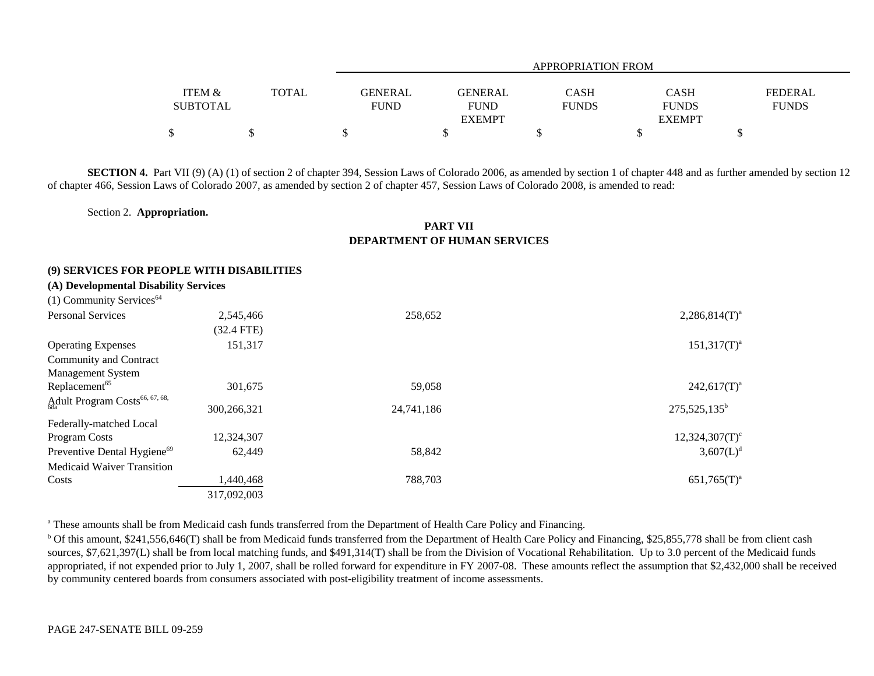|                   |              | <b>APPROPRIATION FROM</b> |                |              |               |                |
|-------------------|--------------|---------------------------|----------------|--------------|---------------|----------------|
| <b>ITEM &amp;</b> | <b>TOTAL</b> | <b>GENERAL</b>            | <b>GENERAL</b> | CASH         | <b>CASH</b>   | <b>FEDERAL</b> |
| <b>SUBTOTAL</b>   |              | <b>FUND</b>               | <b>FUND</b>    | <b>FUNDS</b> | <b>FUNDS</b>  | <b>FUNDS</b>   |
|                   |              |                           | <b>EXEMPT</b>  |              | <b>EXEMPT</b> |                |
|                   |              |                           |                |              |               |                |

**SECTION 4.** Part VII (9) (A) (1) of section 2 of chapter 394, Session Laws of Colorado 2006, as amended by section 1 of chapter 448 and as further amended by section 12 of chapter 466, Session Laws of Colorado 2007, as amended by section 2 of chapter 457, Session Laws of Colorado 2008, is amended to read:

Section 2. **Appropriation.**

## **PART VIIDEPARTMENT OF HUMAN SERVICES**

## **(9) SERVICES FOR PEOPLE WITH DISABILITIES**

| (A) Developmental Disability Services |  |
|---------------------------------------|--|
|---------------------------------------|--|

| $(1)$ Community Services <sup>64</sup>     |              |            |                   |
|--------------------------------------------|--------------|------------|-------------------|
| <b>Personal Services</b>                   | 2,545,466    | 258,652    | $2,286,814(T)^a$  |
|                                            | $(32.4$ FTE) |            |                   |
| <b>Operating Expenses</b>                  | 151,317      |            | $151,317(T)^a$    |
| Community and Contract                     |              |            |                   |
| Management System                          |              |            |                   |
| Replacement <sup>65</sup>                  | 301,675      | 59,058     | $242,617(T)^a$    |
| Adult Program Costs <sup>66, 67, 68,</sup> | 300,266,321  | 24,741,186 | $275,525,135^b$   |
| Federally-matched Local                    |              |            |                   |
| Program Costs                              | 12,324,307   |            | $12,324,307(T)^c$ |
| Preventive Dental Hygiene <sup>69</sup>    | 62,449       | 58,842     | $3,607(L)^d$      |
| <b>Medicaid Waiver Transition</b>          |              |            |                   |
| Costs                                      | 440,468.     | 788,703    | $651,765(T)^{a}$  |
|                                            | 317,092,003  |            |                   |

<sup>a</sup> These amounts shall be from Medicaid cash funds transferred from the Department of Health Care Policy and Financing.

<sup>b</sup> Of this amount, \$241,556,646(T) shall be from Medicaid funds transferred from the Department of Health Care Policy and Financing, \$25,855,778 shall be from client cash sources, \$7,621,397(L) shall be from local matching funds, and \$491,314(T) shall be from the Division of Vocational Rehabilitation. Up to 3.0 percent of the Medicaid funds appropriated, if not expended prior to July 1, 2007, shall be rolled forward for expenditure in FY 2007-08. These amounts reflect the assumption that \$2,432,000 shall be received by community centered boards from consumers associated with post-eligibility treatment of income assessments.